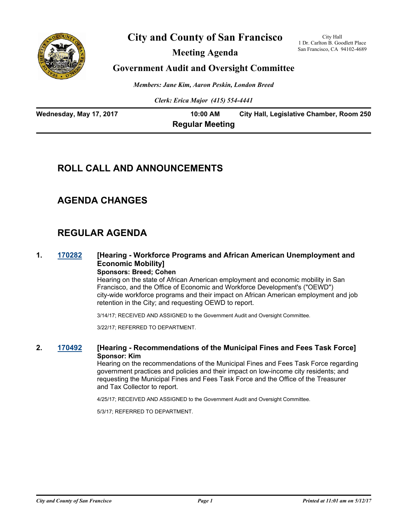

# **City and County of San Francisco**

**Meeting Agenda**

City Hall 1 Dr. Carlton B. Goodlett Place San Francisco, CA 94102-4689

### **Government Audit and Oversight Committee**

*Members: Jane Kim, Aaron Peskin, London Breed*

*Clerk: Erica Major (415) 554-4441*

| Wednesday, May 17, 2017 | 10:00 AM               | City Hall, Legislative Chamber, Room 250 |
|-------------------------|------------------------|------------------------------------------|
|                         | <b>Regular Meeting</b> |                                          |

### **ROLL CALL AND ANNOUNCEMENTS**

### **AGENDA CHANGES**

# **REGULAR AGENDA**

### **1. [170282](http://sfgov.legistar.com/gateway.aspx?m=l&id=31857) [Hearing - Workforce Programs and African American Unemployment and Economic Mobility]**

**Sponsors: Breed; Cohen**

Hearing on the state of African American employment and economic mobility in San Francisco, and the Office of Economic and Workforce Development's ("OEWD") city-wide workforce programs and their impact on African American employment and job retention in the City; and requesting OEWD to report.

3/14/17; RECEIVED AND ASSIGNED to the Government Audit and Oversight Committee.

3/22/17; REFERRED TO DEPARTMENT.

#### **2. [170492](http://sfgov.legistar.com/gateway.aspx?m=l&id=32054) [Hearing - Recommendations of the Municipal Fines and Fees Task Force] Sponsor: Kim**

Hearing on the recommendations of the Municipal Fines and Fees Task Force regarding government practices and policies and their impact on low-income city residents; and requesting the Municipal Fines and Fees Task Force and the Office of the Treasurer and Tax Collector to report.

4/25/17; RECEIVED AND ASSIGNED to the Government Audit and Oversight Committee.

5/3/17; REFERRED TO DEPARTMENT.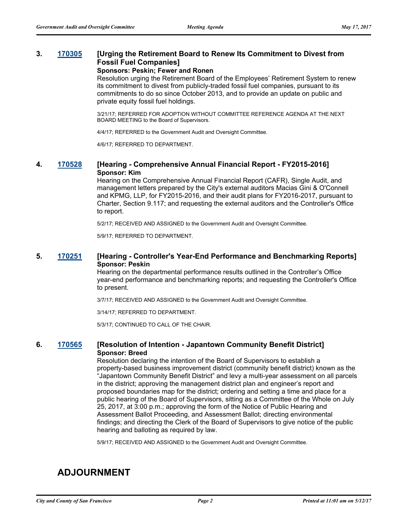### **3. [170305](http://sfgov.legistar.com/gateway.aspx?m=l&id=31880) [Urging the Retirement Board to Renew Its Commitment to Divest from Fossil Fuel Companies]**

#### **Sponsors: Peskin; Fewer and Ronen**

Resolution urging the Retirement Board of the Employees' Retirement System to renew its commitment to divest from publicly-traded fossil fuel companies, pursuant to its commitments to do so since October 2013, and to provide an update on public and private equity fossil fuel holdings.

3/21/17; REFERRED FOR ADOPTION WITHOUT COMMITTEE REFERENCE AGENDA AT THE NEXT BOARD MEETING to the Board of Supervisors.

4/4/17; REFERRED to the Government Audit and Oversight Committee.

4/6/17; REFERRED TO DEPARTMENT.

#### **4. [170528](http://sfgov.legistar.com/gateway.aspx?m=l&id=32084) [Hearing - Comprehensive Annual Financial Report - FY2015-2016] Sponsor: Kim**

Hearing on the Comprehensive Annual Financial Report (CAFR), Single Audit, and management letters prepared by the City's external auditors Macias Gini & O'Connell and KPMG, LLP, for FY2015-2016, and their audit plans for FY2016-2017, pursuant to Charter, Section 9.117; and requesting the external auditors and the Controller's Office to report.

5/2/17; RECEIVED AND ASSIGNED to the Government Audit and Oversight Committee.

5/9/17; REFERRED TO DEPARTMENT.

#### **5. [170251](http://sfgov.legistar.com/gateway.aspx?m=l&id=31826) [Hearing - Controller's Year-End Performance and Benchmarking Reports] Sponsor: Peskin**

Hearing on the departmental performance results outlined in the Controller's Office year-end performance and benchmarking reports; and requesting the Controller's Office to present.

3/7/17; RECEIVED AND ASSIGNED to the Government Audit and Oversight Committee.

3/14/17; REFERRED TO DEPARTMENT.

5/3/17; CONTINUED TO CALL OF THE CHAIR.

#### **6. [170565](http://sfgov.legistar.com/gateway.aspx?m=l&id=32111) [Resolution of Intention - Japantown Community Benefit District] Sponsor: Breed**

Resolution declaring the intention of the Board of Supervisors to establish a property-based business improvement district (community benefit district) known as the "Japantown Community Benefit District" and levy a multi-year assessment on all parcels in the district; approving the management district plan and engineer's report and proposed boundaries map for the district; ordering and setting a time and place for a public hearing of the Board of Supervisors, sitting as a Committee of the Whole on July 25, 2017, at 3:00 p.m.; approving the form of the Notice of Public Hearing and Assessment Ballot Proceeding, and Assessment Ballot; directing environmental findings; and directing the Clerk of the Board of Supervisors to give notice of the public hearing and balloting as required by law.

5/9/17; RECEIVED AND ASSIGNED to the Government Audit and Oversight Committee.

# **ADJOURNMENT**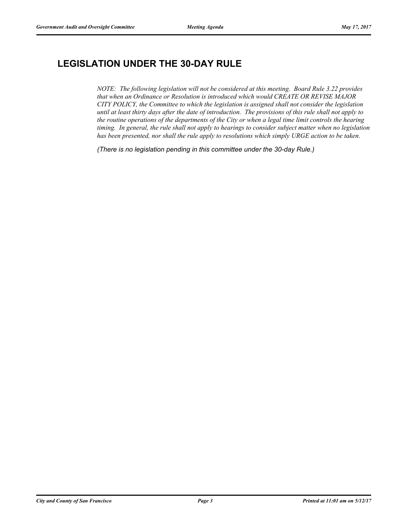# **LEGISLATION UNDER THE 30-DAY RULE**

*NOTE: The following legislation will not be considered at this meeting. Board Rule 3.22 provides that when an Ordinance or Resolution is introduced which would CREATE OR REVISE MAJOR CITY POLICY, the Committee to which the legislation is assigned shall not consider the legislation until at least thirty days after the date of introduction. The provisions of this rule shall not apply to the routine operations of the departments of the City or when a legal time limit controls the hearing timing. In general, the rule shall not apply to hearings to consider subject matter when no legislation has been presented, nor shall the rule apply to resolutions which simply URGE action to be taken.*

*(There is no legislation pending in this committee under the 30-day Rule.)*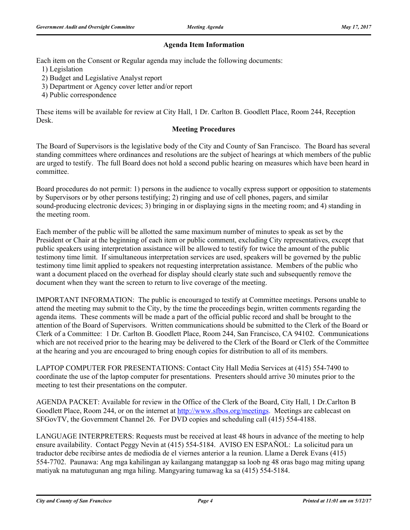### **Agenda Item Information**

Each item on the Consent or Regular agenda may include the following documents:

1) Legislation

- 2) Budget and Legislative Analyst report
- 3) Department or Agency cover letter and/or report
- 4) Public correspondence

These items will be available for review at City Hall, 1 Dr. Carlton B. Goodlett Place, Room 244, Reception Desk.

### **Meeting Procedures**

The Board of Supervisors is the legislative body of the City and County of San Francisco. The Board has several standing committees where ordinances and resolutions are the subject of hearings at which members of the public are urged to testify. The full Board does not hold a second public hearing on measures which have been heard in committee.

Board procedures do not permit: 1) persons in the audience to vocally express support or opposition to statements by Supervisors or by other persons testifying; 2) ringing and use of cell phones, pagers, and similar sound-producing electronic devices; 3) bringing in or displaying signs in the meeting room; and 4) standing in the meeting room.

Each member of the public will be allotted the same maximum number of minutes to speak as set by the President or Chair at the beginning of each item or public comment, excluding City representatives, except that public speakers using interpretation assistance will be allowed to testify for twice the amount of the public testimony time limit. If simultaneous interpretation services are used, speakers will be governed by the public testimony time limit applied to speakers not requesting interpretation assistance. Members of the public who want a document placed on the overhead for display should clearly state such and subsequently remove the document when they want the screen to return to live coverage of the meeting.

IMPORTANT INFORMATION: The public is encouraged to testify at Committee meetings. Persons unable to attend the meeting may submit to the City, by the time the proceedings begin, written comments regarding the agenda items. These comments will be made a part of the official public record and shall be brought to the attention of the Board of Supervisors. Written communications should be submitted to the Clerk of the Board or Clerk of a Committee: 1 Dr. Carlton B. Goodlett Place, Room 244, San Francisco, CA 94102. Communications which are not received prior to the hearing may be delivered to the Clerk of the Board or Clerk of the Committee at the hearing and you are encouraged to bring enough copies for distribution to all of its members.

LAPTOP COMPUTER FOR PRESENTATIONS: Contact City Hall Media Services at (415) 554-7490 to coordinate the use of the laptop computer for presentations. Presenters should arrive 30 minutes prior to the meeting to test their presentations on the computer.

AGENDA PACKET: Available for review in the Office of the Clerk of the Board, City Hall, 1 Dr.Carlton B Goodlett Place, Room 244, or on the internet at http://www.sfbos.org/meetings. Meetings are cablecast on SFGovTV, the Government Channel 26. For DVD copies and scheduling call (415) 554-4188.

LANGUAGE INTERPRETERS: Requests must be received at least 48 hours in advance of the meeting to help ensure availability. Contact Peggy Nevin at (415) 554-5184. AVISO EN ESPAÑOL: La solicitud para un traductor debe recibirse antes de mediodía de el viernes anterior a la reunion. Llame a Derek Evans (415) 554-7702. Paunawa: Ang mga kahilingan ay kailangang matanggap sa loob ng 48 oras bago mag miting upang matiyak na matutugunan ang mga hiling. Mangyaring tumawag ka sa (415) 554-5184.